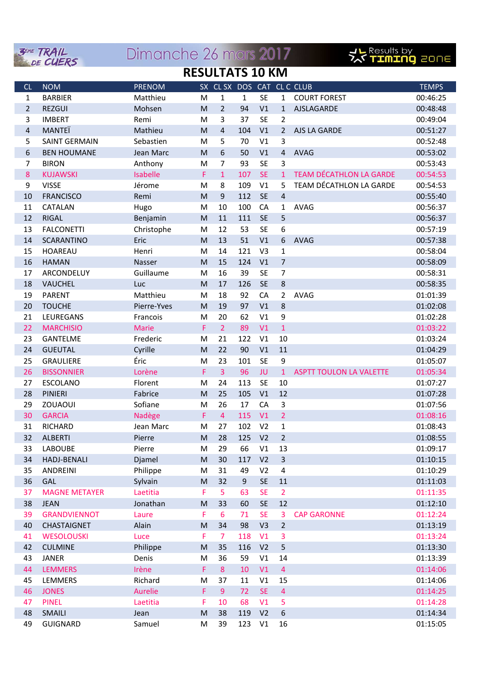| <b>RESULTATS 10 KM</b><br>SX CL SX DOS CAT CL C CLUB<br><b>TEMPS</b><br><b>NOM</b><br><b>PRENOM</b><br>CL<br><b>BARBIER</b><br>$\mathbf{1}$<br>$\mathbf{1}$<br><b>SE</b><br>$\mathbf{1}$<br><b>COURT FOREST</b><br>00:46:25<br>$\mathbf{1}$<br>Matthieu<br>M<br>$\overline{2}$<br>$\overline{2}$<br><b>REZGUI</b><br>Mohsen<br>M<br>94<br>V1<br>AJSLAGARDE<br>00:48:48<br>$\mathbf{1}$<br><b>SE</b><br>$\overline{2}$<br>3<br>3<br>37<br><b>IMBERT</b><br>M<br>00:49:04<br>Remi<br>$\overline{\mathbf{r}}$<br>MANTEÏ<br>$\overline{4}$<br>104<br>V1<br>Mathieu<br>M<br>AJS LA GARDE<br>$\overline{2}$<br>00:51:27<br>5<br>5<br>V1<br>3<br><b>SAINT GERMAIN</b><br>Sebastien<br>70<br>00:52:48<br>M<br>6<br><b>AVAG</b><br>6<br>Jean Marc<br>M<br>50<br>V1<br>$\overline{4}$<br>00:53:02<br><b>BEN HOUMANE</b><br>3<br>7<br>93<br><b>SE</b><br>7<br>Anthony<br>00:53:43<br><b>BIRON</b><br>M<br><b>SE</b><br><b>TEAM DÉCATHLON LA GARDE</b><br>8<br>Isabelle<br>F<br>107<br>00:54:53<br><b>KUJAWSKI</b><br>1<br>$\mathbf{1}$<br>TEAM DÉCATHLON LA GARDE<br>8<br>109<br>V1<br>9<br><b>VISSE</b><br>Jérome<br>5<br>00:54:53<br>M<br><b>SE</b><br>$\mathsf 9$<br>112<br>$\overline{4}$<br>10<br><b>FRANCISCO</b><br>Remi<br>M<br>00:55:40<br>100<br>CA<br><b>AVAG</b><br>11<br>CATALAN<br>10<br>00:56:37<br>Hugo<br>M<br>1<br>5<br>111<br><b>SE</b><br>12<br><b>RIGAL</b><br>M<br>11<br>00:56:37<br>Benjamin<br>6<br>13<br><b>FALCONETTI</b><br>Christophe<br>12<br>53<br><b>SE</b><br>00:57:19<br>M<br>Eric<br>13<br>51<br>V1<br>6<br>14<br><b>SCARANTINO</b><br>M<br><b>AVAG</b><br>00:57:38<br>15<br><b>HOAREAU</b><br>14<br>121<br>V <sub>3</sub><br>$\mathbf{1}$<br>00:58:04<br>Henri<br>M<br>15<br>124<br>V1<br>$\overline{7}$<br>16<br><b>HAMAN</b><br>M<br>00:58:09<br>Nasser<br>$\overline{7}$<br>17<br>ARCONDELUY<br>Guillaume<br>16<br>39<br><b>SE</b><br>00:58:31<br>M<br>18<br>17<br>126<br><b>SE</b><br>8<br>VAUCHEL<br>M<br>00:58:35<br>Luc<br>18<br><b>AVAG</b><br>19<br><b>PARENT</b><br>Matthieu<br>92<br>CA<br>$\overline{2}$<br>01:01:39<br>M<br>8<br>V <sub>1</sub><br>20<br><b>TOUCHE</b><br>Pierre-Yves<br>M<br>19<br>97<br>01:02:08<br>9<br>21<br>LEUREGANS<br>Francois<br>20<br>62<br>V1<br>01:02:28<br>M<br>$\overline{2}$<br>22<br>F<br>89<br>V1<br>$1\,$<br><b>Marie</b><br>01:03:22<br><b>MARCHISIO</b><br>122<br>23<br><b>GANTELME</b><br>Frederic<br>21<br>V1<br>10<br>01:03:24<br>M<br>22<br>90<br>V1<br>11<br>24<br><b>GUEUTAL</b><br>Cyrille<br>M<br>01:04:29<br>Éric<br>101<br><b>SE</b><br>9<br>25<br><b>GRAULIERE</b><br>M<br>23<br>01:05:07<br>$\overline{3}$<br>96<br>26<br>Lorène<br>F<br>JU<br><b>ASPTT TOULON LA VALETTE</b><br>01:05:34<br><b>BISSONNIER</b><br>$\mathbf{1}$<br><b>SE</b><br><b>ESCOLANO</b><br>Florent<br>24<br>113<br>10<br>01:07:27<br>27<br>M<br>V1<br>12<br><b>PINIERI</b><br>Fabrice<br>25<br>105<br>01:07:28<br>28<br>M<br>CA<br>3<br>29<br>ZOUAOUI<br>Sofiane<br>26<br>17<br>01:07:56<br>M<br>Nadège<br>V1<br>$\overline{2}$<br>01:08:16<br><b>GARCIA</b><br>F<br>$\overline{4}$<br>115<br>30<br>102<br>V <sub>2</sub><br>31<br>RICHARD<br>Jean Marc<br>$1\,$<br>01:08:43<br>M<br>27<br>V <sub>2</sub><br>$\overline{2}$<br>32<br>ALBERTI<br>Pierre<br>${\sf M}$<br>28<br>125<br>01:08:55<br>Pierre<br>29<br>66<br>V1<br>13<br>01:09:17<br>33<br><b>LABOUBE</b><br>M<br>Djamel<br>V <sub>2</sub><br>$\mathbf{3}$<br>34<br><b>HADJ-BENALI</b><br>30<br>117<br>01:10:15<br>M<br>35<br>ANDREINI<br>Philippe<br>31<br>49<br>V <sub>2</sub><br>4<br>01:10:29<br>M<br><b>SE</b><br>36<br><b>GAL</b><br>Sylvain<br>32<br>$\boldsymbol{9}$<br>$11\,$<br>01:11:03<br>M<br>F<br>5<br><b>SE</b><br>$\overline{2}$<br>37<br><b>MAGNE METAYER</b><br>Laetitia<br>63<br>01:11:35<br>33<br><b>SE</b><br>12<br>38<br><b>JEAN</b><br>Jonathan<br>${\sf M}$<br>01:12:10<br>60<br><b>GRANDVIENNOT</b><br>F<br><b>SE</b><br>39<br>Laure<br>6<br>3<br><b>CAP GARONNE</b><br>01:12:24<br>71<br>34<br>40<br>Alain<br>M<br>98<br>V <sub>3</sub><br>$\overline{2}$<br>01:13:19<br><b>CHASTAIGNET</b><br>Luce<br>F<br>V1<br>3<br>41<br>$\overline{7}$<br>118<br>01:13:24<br><b>WESOLOUSKI</b><br>5<br>42<br><b>CULMINE</b><br>Philippe<br>35<br>116<br>V <sub>2</sub><br>01:13:30<br>M<br>36<br>14<br>43<br><b>JANER</b><br>Denis<br>M<br>59<br>V1<br>01:13:39<br>F<br>$\overline{4}$<br>44<br><b>LEMMERS</b><br>Irène<br>$\bf 8$<br>V1<br>01:14:06<br>10<br>LEMMERS<br>Richard<br>V1<br>15<br>45<br>M<br>37<br>11<br>01:14:06<br>F<br><b>SE</b><br>$\overline{4}$<br>46<br><b>JONES</b><br>Aurelie<br>9<br>01:14:25<br>72<br><b>PINEL</b><br>V1<br>Laetitia<br>F<br>68<br>5<br>01:14:28<br>47<br>10<br>V <sub>2</sub><br>$\boldsymbol{6}$<br>48<br><b>SMAILI</b><br>38<br>119<br>01:14:34<br>Jean<br>M<br>49<br>16<br>39<br>123<br>V1<br>M |          | <b>3EME TRAIL</b> | Dimanche 26 mars 2017 |  |  |  |  |  |  | <u>」にResults by</u><br>アメ「エロエロロ」このロ目 |  |  |
|----------------------------------------------------------------------------------------------------------------------------------------------------------------------------------------------------------------------------------------------------------------------------------------------------------------------------------------------------------------------------------------------------------------------------------------------------------------------------------------------------------------------------------------------------------------------------------------------------------------------------------------------------------------------------------------------------------------------------------------------------------------------------------------------------------------------------------------------------------------------------------------------------------------------------------------------------------------------------------------------------------------------------------------------------------------------------------------------------------------------------------------------------------------------------------------------------------------------------------------------------------------------------------------------------------------------------------------------------------------------------------------------------------------------------------------------------------------------------------------------------------------------------------------------------------------------------------------------------------------------------------------------------------------------------------------------------------------------------------------------------------------------------------------------------------------------------------------------------------------------------------------------------------------------------------------------------------------------------------------------------------------------------------------------------------------------------------------------------------------------------------------------------------------------------------------------------------------------------------------------------------------------------------------------------------------------------------------------------------------------------------------------------------------------------------------------------------------------------------------------------------------------------------------------------------------------------------------------------------------------------------------------------------------------------------------------------------------------------------------------------------------------------------------------------------------------------------------------------------------------------------------------------------------------------------------------------------------------------------------------------------------------------------------------------------------------------------------------------------------------------------------------------------------------------------------------------------------------------------------------------------------------------------------------------------------------------------------------------------------------------------------------------------------------------------------------------------------------------------------------------------------------------------------------------------------------------------------------------------------------------------------------------------------------------------------------------------------------------------------------------------------------------------------------------------------------------------------------------------------------------------------------------------------------------------------------------------------------------------------------------------------------------------------------------------------------------------------------------------------------------------------------------------------------------------------------------------------------------------------------------------------------------------------------------------------------------------------------------------------------------------------------------------------------------------------------------------------------------------------------------------------------------------------------------------------------------------------------------------------------------------------------------------------------------------------------------------------------------------------------------------------------------------|----------|-------------------|-----------------------|--|--|--|--|--|--|--------------------------------------|--|--|
|                                                                                                                                                                                                                                                                                                                                                                                                                                                                                                                                                                                                                                                                                                                                                                                                                                                                                                                                                                                                                                                                                                                                                                                                                                                                                                                                                                                                                                                                                                                                                                                                                                                                                                                                                                                                                                                                                                                                                                                                                                                                                                                                                                                                                                                                                                                                                                                                                                                                                                                                                                                                                                                                                                                                                                                                                                                                                                                                                                                                                                                                                                                                                                                                                                                                                                                                                                                                                                                                                                                                                                                                                                                                                                                                                                                                                                                                                                                                                                                                                                                                                                                                                                                                                                                                                                                                                                                                                                                                                                                                                                                                                                                                                                                                                                                  | DE CUERS |                   |                       |  |  |  |  |  |  |                                      |  |  |
|                                                                                                                                                                                                                                                                                                                                                                                                                                                                                                                                                                                                                                                                                                                                                                                                                                                                                                                                                                                                                                                                                                                                                                                                                                                                                                                                                                                                                                                                                                                                                                                                                                                                                                                                                                                                                                                                                                                                                                                                                                                                                                                                                                                                                                                                                                                                                                                                                                                                                                                                                                                                                                                                                                                                                                                                                                                                                                                                                                                                                                                                                                                                                                                                                                                                                                                                                                                                                                                                                                                                                                                                                                                                                                                                                                                                                                                                                                                                                                                                                                                                                                                                                                                                                                                                                                                                                                                                                                                                                                                                                                                                                                                                                                                                                                                  |          |                   |                       |  |  |  |  |  |  |                                      |  |  |
|                                                                                                                                                                                                                                                                                                                                                                                                                                                                                                                                                                                                                                                                                                                                                                                                                                                                                                                                                                                                                                                                                                                                                                                                                                                                                                                                                                                                                                                                                                                                                                                                                                                                                                                                                                                                                                                                                                                                                                                                                                                                                                                                                                                                                                                                                                                                                                                                                                                                                                                                                                                                                                                                                                                                                                                                                                                                                                                                                                                                                                                                                                                                                                                                                                                                                                                                                                                                                                                                                                                                                                                                                                                                                                                                                                                                                                                                                                                                                                                                                                                                                                                                                                                                                                                                                                                                                                                                                                                                                                                                                                                                                                                                                                                                                                                  |          |                   |                       |  |  |  |  |  |  |                                      |  |  |
|                                                                                                                                                                                                                                                                                                                                                                                                                                                                                                                                                                                                                                                                                                                                                                                                                                                                                                                                                                                                                                                                                                                                                                                                                                                                                                                                                                                                                                                                                                                                                                                                                                                                                                                                                                                                                                                                                                                                                                                                                                                                                                                                                                                                                                                                                                                                                                                                                                                                                                                                                                                                                                                                                                                                                                                                                                                                                                                                                                                                                                                                                                                                                                                                                                                                                                                                                                                                                                                                                                                                                                                                                                                                                                                                                                                                                                                                                                                                                                                                                                                                                                                                                                                                                                                                                                                                                                                                                                                                                                                                                                                                                                                                                                                                                                                  |          |                   |                       |  |  |  |  |  |  |                                      |  |  |
|                                                                                                                                                                                                                                                                                                                                                                                                                                                                                                                                                                                                                                                                                                                                                                                                                                                                                                                                                                                                                                                                                                                                                                                                                                                                                                                                                                                                                                                                                                                                                                                                                                                                                                                                                                                                                                                                                                                                                                                                                                                                                                                                                                                                                                                                                                                                                                                                                                                                                                                                                                                                                                                                                                                                                                                                                                                                                                                                                                                                                                                                                                                                                                                                                                                                                                                                                                                                                                                                                                                                                                                                                                                                                                                                                                                                                                                                                                                                                                                                                                                                                                                                                                                                                                                                                                                                                                                                                                                                                                                                                                                                                                                                                                                                                                                  |          |                   |                       |  |  |  |  |  |  |                                      |  |  |
|                                                                                                                                                                                                                                                                                                                                                                                                                                                                                                                                                                                                                                                                                                                                                                                                                                                                                                                                                                                                                                                                                                                                                                                                                                                                                                                                                                                                                                                                                                                                                                                                                                                                                                                                                                                                                                                                                                                                                                                                                                                                                                                                                                                                                                                                                                                                                                                                                                                                                                                                                                                                                                                                                                                                                                                                                                                                                                                                                                                                                                                                                                                                                                                                                                                                                                                                                                                                                                                                                                                                                                                                                                                                                                                                                                                                                                                                                                                                                                                                                                                                                                                                                                                                                                                                                                                                                                                                                                                                                                                                                                                                                                                                                                                                                                                  |          |                   |                       |  |  |  |  |  |  |                                      |  |  |
|                                                                                                                                                                                                                                                                                                                                                                                                                                                                                                                                                                                                                                                                                                                                                                                                                                                                                                                                                                                                                                                                                                                                                                                                                                                                                                                                                                                                                                                                                                                                                                                                                                                                                                                                                                                                                                                                                                                                                                                                                                                                                                                                                                                                                                                                                                                                                                                                                                                                                                                                                                                                                                                                                                                                                                                                                                                                                                                                                                                                                                                                                                                                                                                                                                                                                                                                                                                                                                                                                                                                                                                                                                                                                                                                                                                                                                                                                                                                                                                                                                                                                                                                                                                                                                                                                                                                                                                                                                                                                                                                                                                                                                                                                                                                                                                  |          |                   |                       |  |  |  |  |  |  |                                      |  |  |
|                                                                                                                                                                                                                                                                                                                                                                                                                                                                                                                                                                                                                                                                                                                                                                                                                                                                                                                                                                                                                                                                                                                                                                                                                                                                                                                                                                                                                                                                                                                                                                                                                                                                                                                                                                                                                                                                                                                                                                                                                                                                                                                                                                                                                                                                                                                                                                                                                                                                                                                                                                                                                                                                                                                                                                                                                                                                                                                                                                                                                                                                                                                                                                                                                                                                                                                                                                                                                                                                                                                                                                                                                                                                                                                                                                                                                                                                                                                                                                                                                                                                                                                                                                                                                                                                                                                                                                                                                                                                                                                                                                                                                                                                                                                                                                                  |          |                   |                       |  |  |  |  |  |  |                                      |  |  |
|                                                                                                                                                                                                                                                                                                                                                                                                                                                                                                                                                                                                                                                                                                                                                                                                                                                                                                                                                                                                                                                                                                                                                                                                                                                                                                                                                                                                                                                                                                                                                                                                                                                                                                                                                                                                                                                                                                                                                                                                                                                                                                                                                                                                                                                                                                                                                                                                                                                                                                                                                                                                                                                                                                                                                                                                                                                                                                                                                                                                                                                                                                                                                                                                                                                                                                                                                                                                                                                                                                                                                                                                                                                                                                                                                                                                                                                                                                                                                                                                                                                                                                                                                                                                                                                                                                                                                                                                                                                                                                                                                                                                                                                                                                                                                                                  |          |                   |                       |  |  |  |  |  |  |                                      |  |  |
|                                                                                                                                                                                                                                                                                                                                                                                                                                                                                                                                                                                                                                                                                                                                                                                                                                                                                                                                                                                                                                                                                                                                                                                                                                                                                                                                                                                                                                                                                                                                                                                                                                                                                                                                                                                                                                                                                                                                                                                                                                                                                                                                                                                                                                                                                                                                                                                                                                                                                                                                                                                                                                                                                                                                                                                                                                                                                                                                                                                                                                                                                                                                                                                                                                                                                                                                                                                                                                                                                                                                                                                                                                                                                                                                                                                                                                                                                                                                                                                                                                                                                                                                                                                                                                                                                                                                                                                                                                                                                                                                                                                                                                                                                                                                                                                  |          |                   |                       |  |  |  |  |  |  |                                      |  |  |
|                                                                                                                                                                                                                                                                                                                                                                                                                                                                                                                                                                                                                                                                                                                                                                                                                                                                                                                                                                                                                                                                                                                                                                                                                                                                                                                                                                                                                                                                                                                                                                                                                                                                                                                                                                                                                                                                                                                                                                                                                                                                                                                                                                                                                                                                                                                                                                                                                                                                                                                                                                                                                                                                                                                                                                                                                                                                                                                                                                                                                                                                                                                                                                                                                                                                                                                                                                                                                                                                                                                                                                                                                                                                                                                                                                                                                                                                                                                                                                                                                                                                                                                                                                                                                                                                                                                                                                                                                                                                                                                                                                                                                                                                                                                                                                                  |          |                   |                       |  |  |  |  |  |  |                                      |  |  |
|                                                                                                                                                                                                                                                                                                                                                                                                                                                                                                                                                                                                                                                                                                                                                                                                                                                                                                                                                                                                                                                                                                                                                                                                                                                                                                                                                                                                                                                                                                                                                                                                                                                                                                                                                                                                                                                                                                                                                                                                                                                                                                                                                                                                                                                                                                                                                                                                                                                                                                                                                                                                                                                                                                                                                                                                                                                                                                                                                                                                                                                                                                                                                                                                                                                                                                                                                                                                                                                                                                                                                                                                                                                                                                                                                                                                                                                                                                                                                                                                                                                                                                                                                                                                                                                                                                                                                                                                                                                                                                                                                                                                                                                                                                                                                                                  |          |                   |                       |  |  |  |  |  |  |                                      |  |  |
|                                                                                                                                                                                                                                                                                                                                                                                                                                                                                                                                                                                                                                                                                                                                                                                                                                                                                                                                                                                                                                                                                                                                                                                                                                                                                                                                                                                                                                                                                                                                                                                                                                                                                                                                                                                                                                                                                                                                                                                                                                                                                                                                                                                                                                                                                                                                                                                                                                                                                                                                                                                                                                                                                                                                                                                                                                                                                                                                                                                                                                                                                                                                                                                                                                                                                                                                                                                                                                                                                                                                                                                                                                                                                                                                                                                                                                                                                                                                                                                                                                                                                                                                                                                                                                                                                                                                                                                                                                                                                                                                                                                                                                                                                                                                                                                  |          |                   |                       |  |  |  |  |  |  |                                      |  |  |
|                                                                                                                                                                                                                                                                                                                                                                                                                                                                                                                                                                                                                                                                                                                                                                                                                                                                                                                                                                                                                                                                                                                                                                                                                                                                                                                                                                                                                                                                                                                                                                                                                                                                                                                                                                                                                                                                                                                                                                                                                                                                                                                                                                                                                                                                                                                                                                                                                                                                                                                                                                                                                                                                                                                                                                                                                                                                                                                                                                                                                                                                                                                                                                                                                                                                                                                                                                                                                                                                                                                                                                                                                                                                                                                                                                                                                                                                                                                                                                                                                                                                                                                                                                                                                                                                                                                                                                                                                                                                                                                                                                                                                                                                                                                                                                                  |          |                   |                       |  |  |  |  |  |  |                                      |  |  |
|                                                                                                                                                                                                                                                                                                                                                                                                                                                                                                                                                                                                                                                                                                                                                                                                                                                                                                                                                                                                                                                                                                                                                                                                                                                                                                                                                                                                                                                                                                                                                                                                                                                                                                                                                                                                                                                                                                                                                                                                                                                                                                                                                                                                                                                                                                                                                                                                                                                                                                                                                                                                                                                                                                                                                                                                                                                                                                                                                                                                                                                                                                                                                                                                                                                                                                                                                                                                                                                                                                                                                                                                                                                                                                                                                                                                                                                                                                                                                                                                                                                                                                                                                                                                                                                                                                                                                                                                                                                                                                                                                                                                                                                                                                                                                                                  |          |                   |                       |  |  |  |  |  |  |                                      |  |  |
|                                                                                                                                                                                                                                                                                                                                                                                                                                                                                                                                                                                                                                                                                                                                                                                                                                                                                                                                                                                                                                                                                                                                                                                                                                                                                                                                                                                                                                                                                                                                                                                                                                                                                                                                                                                                                                                                                                                                                                                                                                                                                                                                                                                                                                                                                                                                                                                                                                                                                                                                                                                                                                                                                                                                                                                                                                                                                                                                                                                                                                                                                                                                                                                                                                                                                                                                                                                                                                                                                                                                                                                                                                                                                                                                                                                                                                                                                                                                                                                                                                                                                                                                                                                                                                                                                                                                                                                                                                                                                                                                                                                                                                                                                                                                                                                  |          |                   |                       |  |  |  |  |  |  |                                      |  |  |
|                                                                                                                                                                                                                                                                                                                                                                                                                                                                                                                                                                                                                                                                                                                                                                                                                                                                                                                                                                                                                                                                                                                                                                                                                                                                                                                                                                                                                                                                                                                                                                                                                                                                                                                                                                                                                                                                                                                                                                                                                                                                                                                                                                                                                                                                                                                                                                                                                                                                                                                                                                                                                                                                                                                                                                                                                                                                                                                                                                                                                                                                                                                                                                                                                                                                                                                                                                                                                                                                                                                                                                                                                                                                                                                                                                                                                                                                                                                                                                                                                                                                                                                                                                                                                                                                                                                                                                                                                                                                                                                                                                                                                                                                                                                                                                                  |          |                   |                       |  |  |  |  |  |  |                                      |  |  |
|                                                                                                                                                                                                                                                                                                                                                                                                                                                                                                                                                                                                                                                                                                                                                                                                                                                                                                                                                                                                                                                                                                                                                                                                                                                                                                                                                                                                                                                                                                                                                                                                                                                                                                                                                                                                                                                                                                                                                                                                                                                                                                                                                                                                                                                                                                                                                                                                                                                                                                                                                                                                                                                                                                                                                                                                                                                                                                                                                                                                                                                                                                                                                                                                                                                                                                                                                                                                                                                                                                                                                                                                                                                                                                                                                                                                                                                                                                                                                                                                                                                                                                                                                                                                                                                                                                                                                                                                                                                                                                                                                                                                                                                                                                                                                                                  |          |                   |                       |  |  |  |  |  |  |                                      |  |  |
|                                                                                                                                                                                                                                                                                                                                                                                                                                                                                                                                                                                                                                                                                                                                                                                                                                                                                                                                                                                                                                                                                                                                                                                                                                                                                                                                                                                                                                                                                                                                                                                                                                                                                                                                                                                                                                                                                                                                                                                                                                                                                                                                                                                                                                                                                                                                                                                                                                                                                                                                                                                                                                                                                                                                                                                                                                                                                                                                                                                                                                                                                                                                                                                                                                                                                                                                                                                                                                                                                                                                                                                                                                                                                                                                                                                                                                                                                                                                                                                                                                                                                                                                                                                                                                                                                                                                                                                                                                                                                                                                                                                                                                                                                                                                                                                  |          |                   |                       |  |  |  |  |  |  |                                      |  |  |
|                                                                                                                                                                                                                                                                                                                                                                                                                                                                                                                                                                                                                                                                                                                                                                                                                                                                                                                                                                                                                                                                                                                                                                                                                                                                                                                                                                                                                                                                                                                                                                                                                                                                                                                                                                                                                                                                                                                                                                                                                                                                                                                                                                                                                                                                                                                                                                                                                                                                                                                                                                                                                                                                                                                                                                                                                                                                                                                                                                                                                                                                                                                                                                                                                                                                                                                                                                                                                                                                                                                                                                                                                                                                                                                                                                                                                                                                                                                                                                                                                                                                                                                                                                                                                                                                                                                                                                                                                                                                                                                                                                                                                                                                                                                                                                                  |          |                   |                       |  |  |  |  |  |  |                                      |  |  |
|                                                                                                                                                                                                                                                                                                                                                                                                                                                                                                                                                                                                                                                                                                                                                                                                                                                                                                                                                                                                                                                                                                                                                                                                                                                                                                                                                                                                                                                                                                                                                                                                                                                                                                                                                                                                                                                                                                                                                                                                                                                                                                                                                                                                                                                                                                                                                                                                                                                                                                                                                                                                                                                                                                                                                                                                                                                                                                                                                                                                                                                                                                                                                                                                                                                                                                                                                                                                                                                                                                                                                                                                                                                                                                                                                                                                                                                                                                                                                                                                                                                                                                                                                                                                                                                                                                                                                                                                                                                                                                                                                                                                                                                                                                                                                                                  |          |                   |                       |  |  |  |  |  |  |                                      |  |  |
|                                                                                                                                                                                                                                                                                                                                                                                                                                                                                                                                                                                                                                                                                                                                                                                                                                                                                                                                                                                                                                                                                                                                                                                                                                                                                                                                                                                                                                                                                                                                                                                                                                                                                                                                                                                                                                                                                                                                                                                                                                                                                                                                                                                                                                                                                                                                                                                                                                                                                                                                                                                                                                                                                                                                                                                                                                                                                                                                                                                                                                                                                                                                                                                                                                                                                                                                                                                                                                                                                                                                                                                                                                                                                                                                                                                                                                                                                                                                                                                                                                                                                                                                                                                                                                                                                                                                                                                                                                                                                                                                                                                                                                                                                                                                                                                  |          |                   |                       |  |  |  |  |  |  |                                      |  |  |
|                                                                                                                                                                                                                                                                                                                                                                                                                                                                                                                                                                                                                                                                                                                                                                                                                                                                                                                                                                                                                                                                                                                                                                                                                                                                                                                                                                                                                                                                                                                                                                                                                                                                                                                                                                                                                                                                                                                                                                                                                                                                                                                                                                                                                                                                                                                                                                                                                                                                                                                                                                                                                                                                                                                                                                                                                                                                                                                                                                                                                                                                                                                                                                                                                                                                                                                                                                                                                                                                                                                                                                                                                                                                                                                                                                                                                                                                                                                                                                                                                                                                                                                                                                                                                                                                                                                                                                                                                                                                                                                                                                                                                                                                                                                                                                                  |          |                   |                       |  |  |  |  |  |  |                                      |  |  |
|                                                                                                                                                                                                                                                                                                                                                                                                                                                                                                                                                                                                                                                                                                                                                                                                                                                                                                                                                                                                                                                                                                                                                                                                                                                                                                                                                                                                                                                                                                                                                                                                                                                                                                                                                                                                                                                                                                                                                                                                                                                                                                                                                                                                                                                                                                                                                                                                                                                                                                                                                                                                                                                                                                                                                                                                                                                                                                                                                                                                                                                                                                                                                                                                                                                                                                                                                                                                                                                                                                                                                                                                                                                                                                                                                                                                                                                                                                                                                                                                                                                                                                                                                                                                                                                                                                                                                                                                                                                                                                                                                                                                                                                                                                                                                                                  |          |                   |                       |  |  |  |  |  |  |                                      |  |  |
|                                                                                                                                                                                                                                                                                                                                                                                                                                                                                                                                                                                                                                                                                                                                                                                                                                                                                                                                                                                                                                                                                                                                                                                                                                                                                                                                                                                                                                                                                                                                                                                                                                                                                                                                                                                                                                                                                                                                                                                                                                                                                                                                                                                                                                                                                                                                                                                                                                                                                                                                                                                                                                                                                                                                                                                                                                                                                                                                                                                                                                                                                                                                                                                                                                                                                                                                                                                                                                                                                                                                                                                                                                                                                                                                                                                                                                                                                                                                                                                                                                                                                                                                                                                                                                                                                                                                                                                                                                                                                                                                                                                                                                                                                                                                                                                  |          |                   |                       |  |  |  |  |  |  |                                      |  |  |
|                                                                                                                                                                                                                                                                                                                                                                                                                                                                                                                                                                                                                                                                                                                                                                                                                                                                                                                                                                                                                                                                                                                                                                                                                                                                                                                                                                                                                                                                                                                                                                                                                                                                                                                                                                                                                                                                                                                                                                                                                                                                                                                                                                                                                                                                                                                                                                                                                                                                                                                                                                                                                                                                                                                                                                                                                                                                                                                                                                                                                                                                                                                                                                                                                                                                                                                                                                                                                                                                                                                                                                                                                                                                                                                                                                                                                                                                                                                                                                                                                                                                                                                                                                                                                                                                                                                                                                                                                                                                                                                                                                                                                                                                                                                                                                                  |          |                   |                       |  |  |  |  |  |  |                                      |  |  |
|                                                                                                                                                                                                                                                                                                                                                                                                                                                                                                                                                                                                                                                                                                                                                                                                                                                                                                                                                                                                                                                                                                                                                                                                                                                                                                                                                                                                                                                                                                                                                                                                                                                                                                                                                                                                                                                                                                                                                                                                                                                                                                                                                                                                                                                                                                                                                                                                                                                                                                                                                                                                                                                                                                                                                                                                                                                                                                                                                                                                                                                                                                                                                                                                                                                                                                                                                                                                                                                                                                                                                                                                                                                                                                                                                                                                                                                                                                                                                                                                                                                                                                                                                                                                                                                                                                                                                                                                                                                                                                                                                                                                                                                                                                                                                                                  |          |                   |                       |  |  |  |  |  |  |                                      |  |  |
|                                                                                                                                                                                                                                                                                                                                                                                                                                                                                                                                                                                                                                                                                                                                                                                                                                                                                                                                                                                                                                                                                                                                                                                                                                                                                                                                                                                                                                                                                                                                                                                                                                                                                                                                                                                                                                                                                                                                                                                                                                                                                                                                                                                                                                                                                                                                                                                                                                                                                                                                                                                                                                                                                                                                                                                                                                                                                                                                                                                                                                                                                                                                                                                                                                                                                                                                                                                                                                                                                                                                                                                                                                                                                                                                                                                                                                                                                                                                                                                                                                                                                                                                                                                                                                                                                                                                                                                                                                                                                                                                                                                                                                                                                                                                                                                  |          |                   |                       |  |  |  |  |  |  |                                      |  |  |
|                                                                                                                                                                                                                                                                                                                                                                                                                                                                                                                                                                                                                                                                                                                                                                                                                                                                                                                                                                                                                                                                                                                                                                                                                                                                                                                                                                                                                                                                                                                                                                                                                                                                                                                                                                                                                                                                                                                                                                                                                                                                                                                                                                                                                                                                                                                                                                                                                                                                                                                                                                                                                                                                                                                                                                                                                                                                                                                                                                                                                                                                                                                                                                                                                                                                                                                                                                                                                                                                                                                                                                                                                                                                                                                                                                                                                                                                                                                                                                                                                                                                                                                                                                                                                                                                                                                                                                                                                                                                                                                                                                                                                                                                                                                                                                                  |          |                   |                       |  |  |  |  |  |  |                                      |  |  |
|                                                                                                                                                                                                                                                                                                                                                                                                                                                                                                                                                                                                                                                                                                                                                                                                                                                                                                                                                                                                                                                                                                                                                                                                                                                                                                                                                                                                                                                                                                                                                                                                                                                                                                                                                                                                                                                                                                                                                                                                                                                                                                                                                                                                                                                                                                                                                                                                                                                                                                                                                                                                                                                                                                                                                                                                                                                                                                                                                                                                                                                                                                                                                                                                                                                                                                                                                                                                                                                                                                                                                                                                                                                                                                                                                                                                                                                                                                                                                                                                                                                                                                                                                                                                                                                                                                                                                                                                                                                                                                                                                                                                                                                                                                                                                                                  |          |                   |                       |  |  |  |  |  |  |                                      |  |  |
|                                                                                                                                                                                                                                                                                                                                                                                                                                                                                                                                                                                                                                                                                                                                                                                                                                                                                                                                                                                                                                                                                                                                                                                                                                                                                                                                                                                                                                                                                                                                                                                                                                                                                                                                                                                                                                                                                                                                                                                                                                                                                                                                                                                                                                                                                                                                                                                                                                                                                                                                                                                                                                                                                                                                                                                                                                                                                                                                                                                                                                                                                                                                                                                                                                                                                                                                                                                                                                                                                                                                                                                                                                                                                                                                                                                                                                                                                                                                                                                                                                                                                                                                                                                                                                                                                                                                                                                                                                                                                                                                                                                                                                                                                                                                                                                  |          |                   |                       |  |  |  |  |  |  |                                      |  |  |
|                                                                                                                                                                                                                                                                                                                                                                                                                                                                                                                                                                                                                                                                                                                                                                                                                                                                                                                                                                                                                                                                                                                                                                                                                                                                                                                                                                                                                                                                                                                                                                                                                                                                                                                                                                                                                                                                                                                                                                                                                                                                                                                                                                                                                                                                                                                                                                                                                                                                                                                                                                                                                                                                                                                                                                                                                                                                                                                                                                                                                                                                                                                                                                                                                                                                                                                                                                                                                                                                                                                                                                                                                                                                                                                                                                                                                                                                                                                                                                                                                                                                                                                                                                                                                                                                                                                                                                                                                                                                                                                                                                                                                                                                                                                                                                                  |          |                   |                       |  |  |  |  |  |  |                                      |  |  |
|                                                                                                                                                                                                                                                                                                                                                                                                                                                                                                                                                                                                                                                                                                                                                                                                                                                                                                                                                                                                                                                                                                                                                                                                                                                                                                                                                                                                                                                                                                                                                                                                                                                                                                                                                                                                                                                                                                                                                                                                                                                                                                                                                                                                                                                                                                                                                                                                                                                                                                                                                                                                                                                                                                                                                                                                                                                                                                                                                                                                                                                                                                                                                                                                                                                                                                                                                                                                                                                                                                                                                                                                                                                                                                                                                                                                                                                                                                                                                                                                                                                                                                                                                                                                                                                                                                                                                                                                                                                                                                                                                                                                                                                                                                                                                                                  |          |                   |                       |  |  |  |  |  |  |                                      |  |  |
|                                                                                                                                                                                                                                                                                                                                                                                                                                                                                                                                                                                                                                                                                                                                                                                                                                                                                                                                                                                                                                                                                                                                                                                                                                                                                                                                                                                                                                                                                                                                                                                                                                                                                                                                                                                                                                                                                                                                                                                                                                                                                                                                                                                                                                                                                                                                                                                                                                                                                                                                                                                                                                                                                                                                                                                                                                                                                                                                                                                                                                                                                                                                                                                                                                                                                                                                                                                                                                                                                                                                                                                                                                                                                                                                                                                                                                                                                                                                                                                                                                                                                                                                                                                                                                                                                                                                                                                                                                                                                                                                                                                                                                                                                                                                                                                  |          |                   |                       |  |  |  |  |  |  |                                      |  |  |
|                                                                                                                                                                                                                                                                                                                                                                                                                                                                                                                                                                                                                                                                                                                                                                                                                                                                                                                                                                                                                                                                                                                                                                                                                                                                                                                                                                                                                                                                                                                                                                                                                                                                                                                                                                                                                                                                                                                                                                                                                                                                                                                                                                                                                                                                                                                                                                                                                                                                                                                                                                                                                                                                                                                                                                                                                                                                                                                                                                                                                                                                                                                                                                                                                                                                                                                                                                                                                                                                                                                                                                                                                                                                                                                                                                                                                                                                                                                                                                                                                                                                                                                                                                                                                                                                                                                                                                                                                                                                                                                                                                                                                                                                                                                                                                                  |          |                   |                       |  |  |  |  |  |  |                                      |  |  |
|                                                                                                                                                                                                                                                                                                                                                                                                                                                                                                                                                                                                                                                                                                                                                                                                                                                                                                                                                                                                                                                                                                                                                                                                                                                                                                                                                                                                                                                                                                                                                                                                                                                                                                                                                                                                                                                                                                                                                                                                                                                                                                                                                                                                                                                                                                                                                                                                                                                                                                                                                                                                                                                                                                                                                                                                                                                                                                                                                                                                                                                                                                                                                                                                                                                                                                                                                                                                                                                                                                                                                                                                                                                                                                                                                                                                                                                                                                                                                                                                                                                                                                                                                                                                                                                                                                                                                                                                                                                                                                                                                                                                                                                                                                                                                                                  |          |                   |                       |  |  |  |  |  |  |                                      |  |  |
|                                                                                                                                                                                                                                                                                                                                                                                                                                                                                                                                                                                                                                                                                                                                                                                                                                                                                                                                                                                                                                                                                                                                                                                                                                                                                                                                                                                                                                                                                                                                                                                                                                                                                                                                                                                                                                                                                                                                                                                                                                                                                                                                                                                                                                                                                                                                                                                                                                                                                                                                                                                                                                                                                                                                                                                                                                                                                                                                                                                                                                                                                                                                                                                                                                                                                                                                                                                                                                                                                                                                                                                                                                                                                                                                                                                                                                                                                                                                                                                                                                                                                                                                                                                                                                                                                                                                                                                                                                                                                                                                                                                                                                                                                                                                                                                  |          |                   |                       |  |  |  |  |  |  |                                      |  |  |
|                                                                                                                                                                                                                                                                                                                                                                                                                                                                                                                                                                                                                                                                                                                                                                                                                                                                                                                                                                                                                                                                                                                                                                                                                                                                                                                                                                                                                                                                                                                                                                                                                                                                                                                                                                                                                                                                                                                                                                                                                                                                                                                                                                                                                                                                                                                                                                                                                                                                                                                                                                                                                                                                                                                                                                                                                                                                                                                                                                                                                                                                                                                                                                                                                                                                                                                                                                                                                                                                                                                                                                                                                                                                                                                                                                                                                                                                                                                                                                                                                                                                                                                                                                                                                                                                                                                                                                                                                                                                                                                                                                                                                                                                                                                                                                                  |          |                   |                       |  |  |  |  |  |  |                                      |  |  |
|                                                                                                                                                                                                                                                                                                                                                                                                                                                                                                                                                                                                                                                                                                                                                                                                                                                                                                                                                                                                                                                                                                                                                                                                                                                                                                                                                                                                                                                                                                                                                                                                                                                                                                                                                                                                                                                                                                                                                                                                                                                                                                                                                                                                                                                                                                                                                                                                                                                                                                                                                                                                                                                                                                                                                                                                                                                                                                                                                                                                                                                                                                                                                                                                                                                                                                                                                                                                                                                                                                                                                                                                                                                                                                                                                                                                                                                                                                                                                                                                                                                                                                                                                                                                                                                                                                                                                                                                                                                                                                                                                                                                                                                                                                                                                                                  |          |                   |                       |  |  |  |  |  |  |                                      |  |  |
|                                                                                                                                                                                                                                                                                                                                                                                                                                                                                                                                                                                                                                                                                                                                                                                                                                                                                                                                                                                                                                                                                                                                                                                                                                                                                                                                                                                                                                                                                                                                                                                                                                                                                                                                                                                                                                                                                                                                                                                                                                                                                                                                                                                                                                                                                                                                                                                                                                                                                                                                                                                                                                                                                                                                                                                                                                                                                                                                                                                                                                                                                                                                                                                                                                                                                                                                                                                                                                                                                                                                                                                                                                                                                                                                                                                                                                                                                                                                                                                                                                                                                                                                                                                                                                                                                                                                                                                                                                                                                                                                                                                                                                                                                                                                                                                  |          |                   |                       |  |  |  |  |  |  |                                      |  |  |
|                                                                                                                                                                                                                                                                                                                                                                                                                                                                                                                                                                                                                                                                                                                                                                                                                                                                                                                                                                                                                                                                                                                                                                                                                                                                                                                                                                                                                                                                                                                                                                                                                                                                                                                                                                                                                                                                                                                                                                                                                                                                                                                                                                                                                                                                                                                                                                                                                                                                                                                                                                                                                                                                                                                                                                                                                                                                                                                                                                                                                                                                                                                                                                                                                                                                                                                                                                                                                                                                                                                                                                                                                                                                                                                                                                                                                                                                                                                                                                                                                                                                                                                                                                                                                                                                                                                                                                                                                                                                                                                                                                                                                                                                                                                                                                                  |          |                   |                       |  |  |  |  |  |  |                                      |  |  |
|                                                                                                                                                                                                                                                                                                                                                                                                                                                                                                                                                                                                                                                                                                                                                                                                                                                                                                                                                                                                                                                                                                                                                                                                                                                                                                                                                                                                                                                                                                                                                                                                                                                                                                                                                                                                                                                                                                                                                                                                                                                                                                                                                                                                                                                                                                                                                                                                                                                                                                                                                                                                                                                                                                                                                                                                                                                                                                                                                                                                                                                                                                                                                                                                                                                                                                                                                                                                                                                                                                                                                                                                                                                                                                                                                                                                                                                                                                                                                                                                                                                                                                                                                                                                                                                                                                                                                                                                                                                                                                                                                                                                                                                                                                                                                                                  |          |                   |                       |  |  |  |  |  |  |                                      |  |  |
|                                                                                                                                                                                                                                                                                                                                                                                                                                                                                                                                                                                                                                                                                                                                                                                                                                                                                                                                                                                                                                                                                                                                                                                                                                                                                                                                                                                                                                                                                                                                                                                                                                                                                                                                                                                                                                                                                                                                                                                                                                                                                                                                                                                                                                                                                                                                                                                                                                                                                                                                                                                                                                                                                                                                                                                                                                                                                                                                                                                                                                                                                                                                                                                                                                                                                                                                                                                                                                                                                                                                                                                                                                                                                                                                                                                                                                                                                                                                                                                                                                                                                                                                                                                                                                                                                                                                                                                                                                                                                                                                                                                                                                                                                                                                                                                  |          |                   |                       |  |  |  |  |  |  |                                      |  |  |
|                                                                                                                                                                                                                                                                                                                                                                                                                                                                                                                                                                                                                                                                                                                                                                                                                                                                                                                                                                                                                                                                                                                                                                                                                                                                                                                                                                                                                                                                                                                                                                                                                                                                                                                                                                                                                                                                                                                                                                                                                                                                                                                                                                                                                                                                                                                                                                                                                                                                                                                                                                                                                                                                                                                                                                                                                                                                                                                                                                                                                                                                                                                                                                                                                                                                                                                                                                                                                                                                                                                                                                                                                                                                                                                                                                                                                                                                                                                                                                                                                                                                                                                                                                                                                                                                                                                                                                                                                                                                                                                                                                                                                                                                                                                                                                                  |          |                   |                       |  |  |  |  |  |  |                                      |  |  |
|                                                                                                                                                                                                                                                                                                                                                                                                                                                                                                                                                                                                                                                                                                                                                                                                                                                                                                                                                                                                                                                                                                                                                                                                                                                                                                                                                                                                                                                                                                                                                                                                                                                                                                                                                                                                                                                                                                                                                                                                                                                                                                                                                                                                                                                                                                                                                                                                                                                                                                                                                                                                                                                                                                                                                                                                                                                                                                                                                                                                                                                                                                                                                                                                                                                                                                                                                                                                                                                                                                                                                                                                                                                                                                                                                                                                                                                                                                                                                                                                                                                                                                                                                                                                                                                                                                                                                                                                                                                                                                                                                                                                                                                                                                                                                                                  |          |                   |                       |  |  |  |  |  |  |                                      |  |  |
|                                                                                                                                                                                                                                                                                                                                                                                                                                                                                                                                                                                                                                                                                                                                                                                                                                                                                                                                                                                                                                                                                                                                                                                                                                                                                                                                                                                                                                                                                                                                                                                                                                                                                                                                                                                                                                                                                                                                                                                                                                                                                                                                                                                                                                                                                                                                                                                                                                                                                                                                                                                                                                                                                                                                                                                                                                                                                                                                                                                                                                                                                                                                                                                                                                                                                                                                                                                                                                                                                                                                                                                                                                                                                                                                                                                                                                                                                                                                                                                                                                                                                                                                                                                                                                                                                                                                                                                                                                                                                                                                                                                                                                                                                                                                                                                  |          |                   |                       |  |  |  |  |  |  |                                      |  |  |
|                                                                                                                                                                                                                                                                                                                                                                                                                                                                                                                                                                                                                                                                                                                                                                                                                                                                                                                                                                                                                                                                                                                                                                                                                                                                                                                                                                                                                                                                                                                                                                                                                                                                                                                                                                                                                                                                                                                                                                                                                                                                                                                                                                                                                                                                                                                                                                                                                                                                                                                                                                                                                                                                                                                                                                                                                                                                                                                                                                                                                                                                                                                                                                                                                                                                                                                                                                                                                                                                                                                                                                                                                                                                                                                                                                                                                                                                                                                                                                                                                                                                                                                                                                                                                                                                                                                                                                                                                                                                                                                                                                                                                                                                                                                                                                                  |          |                   |                       |  |  |  |  |  |  |                                      |  |  |
|                                                                                                                                                                                                                                                                                                                                                                                                                                                                                                                                                                                                                                                                                                                                                                                                                                                                                                                                                                                                                                                                                                                                                                                                                                                                                                                                                                                                                                                                                                                                                                                                                                                                                                                                                                                                                                                                                                                                                                                                                                                                                                                                                                                                                                                                                                                                                                                                                                                                                                                                                                                                                                                                                                                                                                                                                                                                                                                                                                                                                                                                                                                                                                                                                                                                                                                                                                                                                                                                                                                                                                                                                                                                                                                                                                                                                                                                                                                                                                                                                                                                                                                                                                                                                                                                                                                                                                                                                                                                                                                                                                                                                                                                                                                                                                                  |          |                   |                       |  |  |  |  |  |  |                                      |  |  |
|                                                                                                                                                                                                                                                                                                                                                                                                                                                                                                                                                                                                                                                                                                                                                                                                                                                                                                                                                                                                                                                                                                                                                                                                                                                                                                                                                                                                                                                                                                                                                                                                                                                                                                                                                                                                                                                                                                                                                                                                                                                                                                                                                                                                                                                                                                                                                                                                                                                                                                                                                                                                                                                                                                                                                                                                                                                                                                                                                                                                                                                                                                                                                                                                                                                                                                                                                                                                                                                                                                                                                                                                                                                                                                                                                                                                                                                                                                                                                                                                                                                                                                                                                                                                                                                                                                                                                                                                                                                                                                                                                                                                                                                                                                                                                                                  |          |                   |                       |  |  |  |  |  |  |                                      |  |  |
|                                                                                                                                                                                                                                                                                                                                                                                                                                                                                                                                                                                                                                                                                                                                                                                                                                                                                                                                                                                                                                                                                                                                                                                                                                                                                                                                                                                                                                                                                                                                                                                                                                                                                                                                                                                                                                                                                                                                                                                                                                                                                                                                                                                                                                                                                                                                                                                                                                                                                                                                                                                                                                                                                                                                                                                                                                                                                                                                                                                                                                                                                                                                                                                                                                                                                                                                                                                                                                                                                                                                                                                                                                                                                                                                                                                                                                                                                                                                                                                                                                                                                                                                                                                                                                                                                                                                                                                                                                                                                                                                                                                                                                                                                                                                                                                  |          | <b>GUIGNARD</b>   | Samuel                |  |  |  |  |  |  | 01:15:05                             |  |  |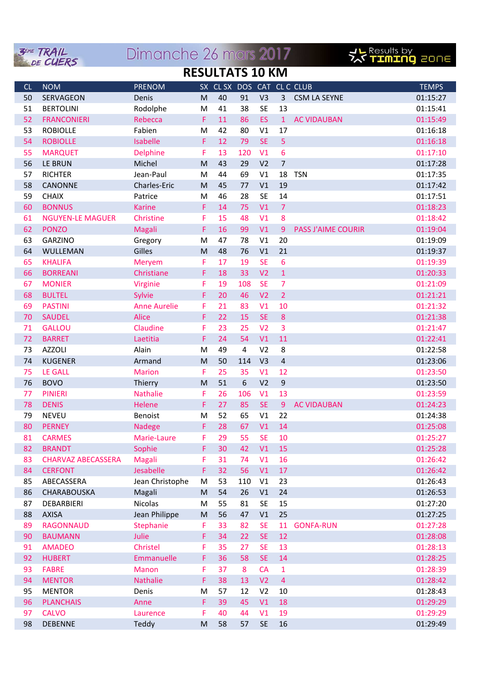|                        | <b>3EME TRAIL</b><br>DE CUERS  | Dimanche 26 mars 2017 |                                                                                       |          |                            |                        |                  |                           | <b>JL Results by<br/>スペ TIMING</b> 20NE |  |
|------------------------|--------------------------------|-----------------------|---------------------------------------------------------------------------------------|----------|----------------------------|------------------------|------------------|---------------------------|-----------------------------------------|--|
| <b>RESULTATS 10 KM</b> |                                |                       |                                                                                       |          |                            |                        |                  |                           |                                         |  |
| CL                     | <b>NOM</b>                     | <b>PRENOM</b>         |                                                                                       |          | SX CL SX DOS CAT CL C CLUB |                        |                  |                           | <b>TEMPS</b>                            |  |
| 50                     | SERVAGEON                      | Denis                 | M                                                                                     | 40       | 91                         | V <sub>3</sub>         | 3                | <b>CSM LA SEYNE</b>       | 01:15:27                                |  |
| 51                     | <b>BERTOLINI</b>               | Rodolphe              | M                                                                                     | 41       | 38                         | <b>SE</b>              | 13               |                           | 01:15:41                                |  |
| 52                     | <b>FRANCONIERI</b>             | Rebecca               | F.                                                                                    | 11       | 86                         | ES                     | $\mathbf{1}$     | <b>AC VIDAUBAN</b>        | 01:15:49                                |  |
| 53                     | <b>ROBIOLLE</b>                | Fabien                | M                                                                                     | 42       | 80                         | V1                     | 17               |                           | 01:16:18                                |  |
| 54                     | <b>ROBIOLLE</b>                | Isabelle              | F                                                                                     | 12       | 79                         | <b>SE</b>              | 5                |                           | 01:16:18                                |  |
| 55                     | <b>MARQUET</b>                 | Delphine              | F                                                                                     | 13       | 120                        | V <sub>1</sub>         | 6                |                           | 01:17:10                                |  |
| 56                     | LE BRUN                        | Michel                | M                                                                                     | 43       | 29                         | V <sub>2</sub>         | $\overline{7}$   |                           | 01:17:28                                |  |
| 57                     | <b>RICHTER</b>                 | Jean-Paul             | M                                                                                     | 44       | 69                         | V1                     | 18               | <b>TSN</b>                | 01:17:35                                |  |
| 58                     | <b>CANONNE</b>                 | Charles-Eric          | M                                                                                     | 45       | 77                         | V1                     | 19               |                           | 01:17:42                                |  |
| 59                     | <b>CHAIX</b>                   | Patrice               | M                                                                                     | 46       | 28                         | <b>SE</b>              | 14               |                           | 01:17:51                                |  |
| 60                     | <b>BONNUS</b>                  | <b>Karine</b>         | F                                                                                     | 14       | 75                         | V <sub>1</sub>         | $\overline{7}$   |                           | 01:18:23                                |  |
| 61                     | <b>NGUYEN-LE MAGUER</b>        | Christine             | F                                                                                     | 15       | 48                         | V <sub>1</sub>         | $\boldsymbol{8}$ |                           | 01:18:42                                |  |
| 62                     | <b>PONZO</b>                   | Magali                | F                                                                                     | 16       | 99                         | V <sub>1</sub>         | 9                | <b>PASS J'AIME COURIR</b> | 01:19:04                                |  |
| 63                     | <b>GARZINO</b>                 | Gregory               | M                                                                                     | 47       | 78                         | V <sub>1</sub>         | 20               |                           | 01:19:09                                |  |
| 64                     | WULLEMAN                       | Gilles                | M                                                                                     | 48       | 76                         | V <sub>1</sub>         | 21               |                           | 01:19:37                                |  |
| 65                     | <b>KHALIFA</b>                 | Meryem                | F                                                                                     | 17       | 19                         | <b>SE</b>              | 6                |                           | 01:19:39                                |  |
| 66                     | <b>BORREANI</b>                | Christiane            | F                                                                                     | 18       | 33                         | V <sub>2</sub>         | $\mathbf{1}$     |                           | 01:20:33                                |  |
| 67                     | <b>MONIER</b>                  | Virginie              | F                                                                                     | 19       | 108                        | <b>SE</b>              | $\overline{7}$   |                           | 01:21:09                                |  |
| 68                     | <b>BULTEL</b>                  | Sylvie                | F                                                                                     | 20       | 46                         | V <sub>2</sub>         | $\overline{2}$   |                           | 01:21:21                                |  |
| 69                     | <b>PASTINI</b>                 | <b>Anne Aurelie</b>   | F                                                                                     | 21       | 83                         | V <sub>1</sub>         | 10               |                           | 01:21:32                                |  |
| 70                     | <b>SAUDEL</b>                  | <b>Alice</b>          | F                                                                                     | 22       | 15                         | <b>SE</b>              | $\boldsymbol{8}$ |                           | 01:21:38                                |  |
| 71                     | <b>GALLOU</b>                  | Claudine              | F                                                                                     | 23       | 25                         | V <sub>2</sub>         | 3                |                           | 01:21:47                                |  |
| 72                     | <b>BARRET</b>                  | Laetitia              | F                                                                                     | 24       | 54                         | V <sub>1</sub>         | 11               |                           | 01:22:41                                |  |
| 73                     | <b>AZZOLI</b>                  | Alain                 | M                                                                                     | 49       | 4                          | V <sub>2</sub>         | 8                |                           | 01:22:58                                |  |
| 74                     | <b>KUGENER</b>                 | Armand                | M                                                                                     | 50       | 114                        | V <sub>3</sub>         | $\overline{4}$   |                           | 01:23:06                                |  |
| 75                     | <b>LE GALL</b>                 | <b>Marion</b>         | F                                                                                     | 25       | 35                         | V <sub>1</sub>         | 12               |                           | 01:23:50                                |  |
| 76                     | <b>BOVO</b>                    | Thierry               | M                                                                                     | 51       | 6                          | V <sub>2</sub>         | $9$              |                           | 01:23:50                                |  |
| 77                     | <b>PINIERI</b>                 | <b>Nathalie</b>       | F                                                                                     | 26       | 106                        | V <sub>1</sub>         | 13               |                           | 01:23:59                                |  |
| 78                     | <b>DENIS</b>                   | Helene                | F                                                                                     | 27       | 85                         | <b>SE</b>              | 9                | <b>AC VIDAUBAN</b>        | 01:24:23                                |  |
| 79                     | <b>NEVEU</b>                   | Benoist               | M                                                                                     | 52       | 65                         | V1                     | 22               |                           | 01:24:38                                |  |
| 80                     | <b>PERNEY</b>                  | <b>Nadege</b>         | F.                                                                                    | 28       | 67                         | V1                     | 14               |                           | 01:25:08                                |  |
| 81                     | <b>CARMES</b>                  | Marie-Laure           | F                                                                                     | 29       | 55                         | <b>SE</b>              | 10               |                           | 01:25:27                                |  |
| 82                     | <b>BRANDT</b>                  | Sophie                | F.                                                                                    | 30       | 42                         | V1                     | 15               |                           | 01:25:28                                |  |
| 83                     | <b>CHARVAZ ABECASSERA</b>      | <b>Magali</b>         | F                                                                                     | 31       | 74                         | V1                     | 16               |                           | 01:26:42                                |  |
| 84                     | <b>CERFONT</b>                 | Jesabelle             | F                                                                                     | 32       | 56                         | V1                     | 17               |                           | 01:26:42                                |  |
| 85                     | ABECASSERA                     | Jean Christophe       | M                                                                                     | 53       | 110                        | V1                     | 23               |                           | 01:26:43                                |  |
| 86                     | CHARABOUSKA                    | Magali                | M                                                                                     | 54       | 26                         | V1                     | 24               |                           | 01:26:53                                |  |
| 87                     | DEBARBIERI                     | Nicolas               | M                                                                                     | 55       | 81                         | <b>SE</b>              | 15               |                           | 01:27:20                                |  |
| 88                     | <b>AXISA</b>                   | Jean Philippe         | M                                                                                     | 56       | 47                         | V1                     | 25               |                           | 01:27:25                                |  |
| 89                     | <b>RAGONNAUD</b>               | Stephanie             | F                                                                                     | 33       | 82                         | <b>SE</b><br><b>SE</b> | 11               | <b>GONFA-RUN</b>          | 01:27:28                                |  |
| 90                     | <b>BAUMANN</b>                 | Julie<br>Christel     | F.                                                                                    | 34       | 22                         |                        | 12               |                           | 01:28:08                                |  |
| 91<br>92               | <b>AMADEO</b><br><b>HUBERT</b> | Emmanuelle            | F                                                                                     | 35<br>36 | 27<br>58                   | <b>SE</b><br><b>SE</b> | 13<br>14         |                           | 01:28:13                                |  |
|                        | <b>FABRE</b>                   | Manon                 | F<br>F                                                                                | 37       | 8                          | CA                     | $\mathbf 1$      |                           | 01:28:25<br>01:28:39                    |  |
| 93<br>94               | <b>MENTOR</b>                  | <b>Nathalie</b>       | F                                                                                     | 38       | 13                         | V <sub>2</sub>         | $\overline{4}$   |                           | 01:28:42                                |  |
| 95                     | <b>MENTOR</b>                  | Denis                 | M                                                                                     | 57       | 12                         | V <sub>2</sub>         | 10               |                           | 01:28:43                                |  |
| 96                     | <b>PLANCHAIS</b>               | Anne                  | F                                                                                     | 39       | 45                         | V1                     | 18               |                           | 01:29:29                                |  |
| 97                     | <b>CALVO</b>                   | Laurence              | F                                                                                     | 40       | 44                         | V1                     | 19               |                           | 01:29:29                                |  |
| 98                     | <b>DEBENNE</b>                 | Teddy                 | $\mathsf{M}% _{T}=\mathsf{M}_{T}\!\left( a,b\right) ,\ \mathsf{M}_{T}=\mathsf{M}_{T}$ | 58       | 57                         | <b>SE</b>              | 16               |                           | 01:29:49                                |  |